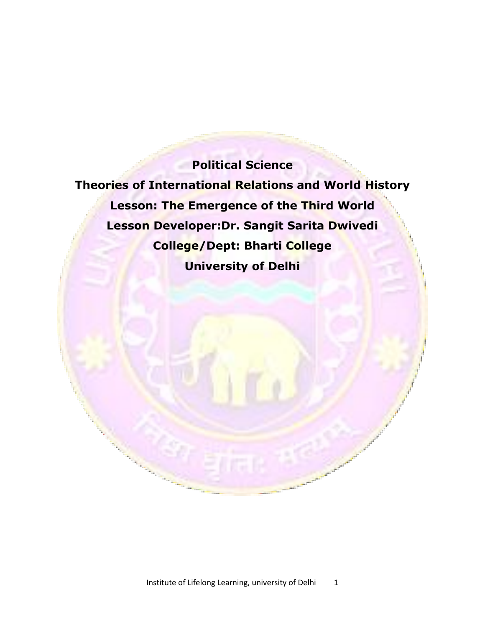# **Political Science**

**Theories of International Relations and World History Lesson: The Emergence of the Third World Lesson Developer:Dr. Sangit Sarita Dwivedi College/Dept: Bharti College University of Delhi**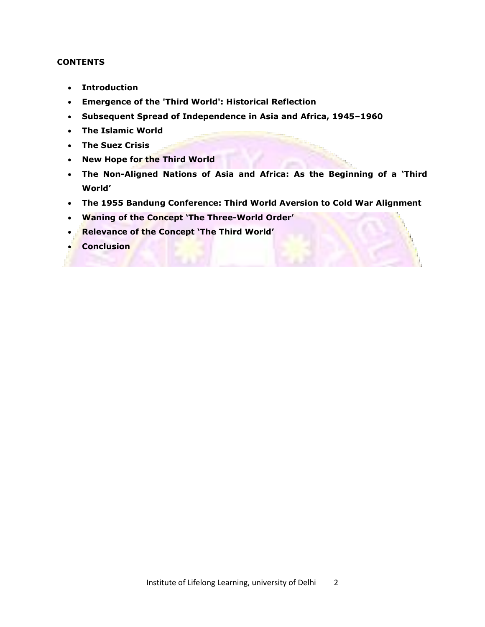## **CONTENTS**

- **Introduction**
- **Emergence of the 'Third World': Historical Reflection**
- **Subsequent Spread of Independence in Asia and Africa, 1945–1960**
- **The Islamic World**
- **The Suez Crisis**
- **New Hope for the Third World**
- **The Non-Aligned Nations of Asia and Africa: As the Beginning of a 'Third World'**
- **The 1955 Bandung Conference: Third World Aversion to Cold War Alignment**
- **Waning of the Concept 'The Three-World Order'**
- **Relevance of the Concept 'The Third World'**
- **Conclusion**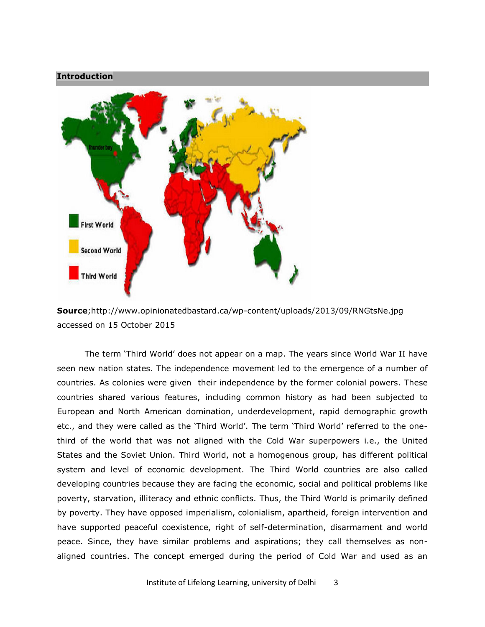## **Introduction**



**Source**;http://www.opinionatedbastard.ca/wp-content/uploads/2013/09/RNGtsNe.jpg accessed on 15 October 2015

The term 'Third World' does not appear on a map. The years since World War II have seen new nation states. The independence movement led to the emergence of a number of countries. As colonies were given their independence by the former colonial powers. These countries shared various features, including common history as had been subjected to European and North American domination, underdevelopment, rapid demographic growth etc., and they were called as the 'Third World'. The term 'Third World' referred to the onethird of the world that was not aligned with the Cold War superpowers i.e., the United States and the Soviet Union. Third World, not a homogenous group, has different political system and level of economic development. The Third World countries are also called developing countries because they are facing the economic, social and political problems like poverty, starvation, illiteracy and ethnic conflicts. Thus, the Third World is primarily defined by poverty. They have opposed imperialism, colonialism, apartheid, foreign intervention and have supported peaceful coexistence, right of self-determination, disarmament and world peace. Since, they have similar problems and aspirations; they call themselves as nonaligned countries. The concept emerged during the period of Cold War and used as an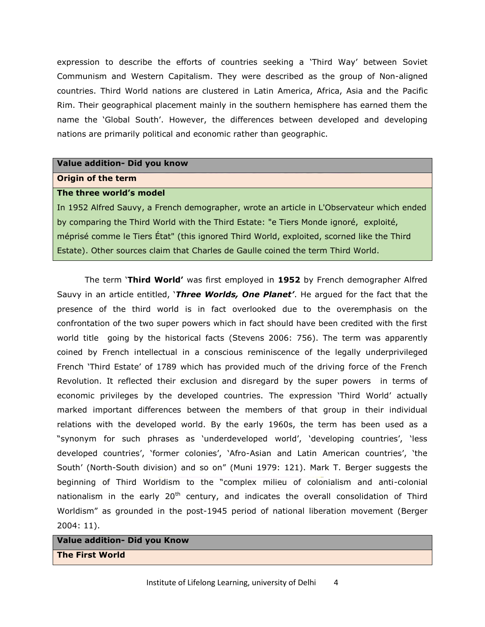expression to describe the efforts of countries seeking a 'Third Way' between Soviet Communism and Western Capitalism. They were described as the group of Non-aligned countries. Third World nations are clustered in Latin America, Africa, Asia and the Pacific Rim. Their geographical placement mainly in the southern hemisphere has earned them the name the 'Global South'. However, the differences between developed and developing nations are primarily political and economic rather than geographic.

### **Value addition- Did you know**

#### **Origin of the term**

#### **The three world's model**

In 1952 Alfred Sauvy, a French demographer, wrote an article in L'Observateur which ended by comparing the Third World with the Third Estate: "e Tiers Monde ignoré, exploité, méprisé comme le Tiers État" (this ignored Third World, exploited, scorned like the Third Estate). Other sources claim that Charles de Gaulle coined the term Third World.

 The term ‗**Third World'** was first employed in **1952** by French demographer Alfred Sauvy in an article entitled, **`Three Worlds, One Planet'**. He argued for the fact that the presence of the third world is in fact overlooked due to the overemphasis on the confrontation of the two super powers which in fact should have been credited with the first world title going by the historical facts (Stevens 2006: 756). The term was apparently coined by French intellectual in a conscious reminiscence of the legally underprivileged French 'Third Estate' of 1789 which has provided much of the driving force of the French Revolution. It reflected their exclusion and disregard by the super powers in terms of economic privileges by the developed countries. The expression 'Third World' actually marked important differences between the members of that group in their individual relations with the developed world. By the early 1960s, the term has been used as a "synonym for such phrases as 'underdeveloped world', 'developing countries', 'less developed countries', 'former colonies', 'Afro-Asian and Latin American countries', 'the South' (North-South division) and so on" (Muni 1979: 121). Mark T. Berger suggests the beginning of Third Worldism to the "complex milieu of colonialism and anti-colonial nationalism in the early  $20<sup>th</sup>$  century, and indicates the overall consolidation of Third Worldism" as grounded in the post-1945 period of national liberation movement (Berger 2004: 11).

## **Value addition- Did you Know The First World**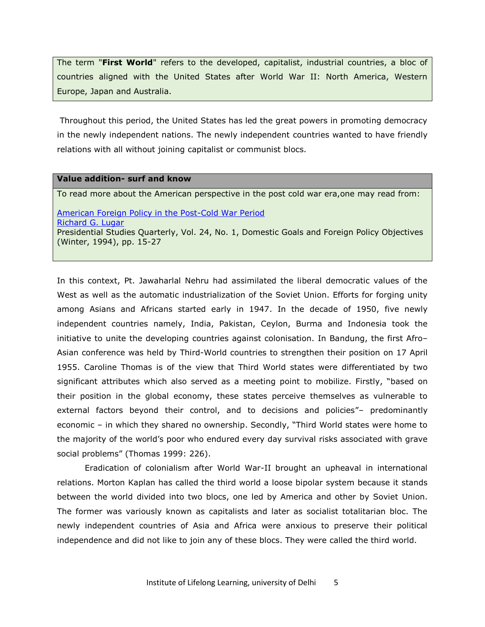The term "**First World**" refers to the developed, capitalist, industrial countries, a bloc of countries aligned with the United States after World War II: North America, Western Europe, Japan and Australia.

Throughout this period, the United States has led the great powers in promoting democracy in the newly independent nations. The newly independent countries wanted to have friendly relations with all without joining capitalist or communist blocs.

## **Value addition- surf and know**

To read more about the American perspective in the post cold war era,one may read from:

[American Foreign Policy in the Post-Cold War Period](http://www.jstor.org/stable/10.2307/27551190?Search=yes&resultItemClick=true&searchText=post&searchText=cold&searchText=war&searchText=period%5C&searchUri=%2Faction%2FdoBasicSearch%3FQuery%3Dpost%2Bcold%2Bwar%2Bperiod%255C%26amp%3Bacc%3Don%26amp%3Bwc%3Don%26amp%3Bfc%3Doff%26amp%3Bgroup%3Dnone) [Richard G. Lugar](http://www.jstor.org/action/doBasicSearch?acc=on&wc=on&fc=off&group=none&Query=au:%22Richard+G.+Lugar%22&si=1) Presidential Studies Quarterly, Vol. 24, No. 1, Domestic Goals and Foreign Policy Objectives (Winter, 1994), pp. 15-27

In this context, Pt. Jawaharlal Nehru had assimilated the liberal democratic values of the West as well as the automatic industrialization of the Soviet Union. Efforts for forging unity among Asians and Africans started early in 1947. In the decade of 1950, five newly independent countries namely, India, Pakistan, Ceylon, Burma and Indonesia took the initiative to unite the developing countries against colonisation. In Bandung, the first Afro– Asian conference was held by Third-World countries to strengthen their position on 17 April 1955. Caroline Thomas is of the view that Third World states were differentiated by two significant attributes which also served as a meeting point to mobilize. Firstly, "based on their position in the global economy, these states perceive themselves as vulnerable to external factors beyond their control, and to decisions and policies"- predominantly economic – in which they shared no ownership. Secondly, "Third World states were home to the majority of the world's poor who endured every day survival risks associated with grave social problems" (Thomas 1999: 226).

 Eradication of colonialism after World War-II brought an upheaval in international relations. Morton Kaplan has called the third world a loose bipolar system because it stands between the world divided into two blocs, one led by America and other by Soviet Union. The former was variously known as capitalists and later as socialist totalitarian bloc. The newly independent countries of Asia and Africa were anxious to preserve their political independence and did not like to join any of these blocs. They were called the third world.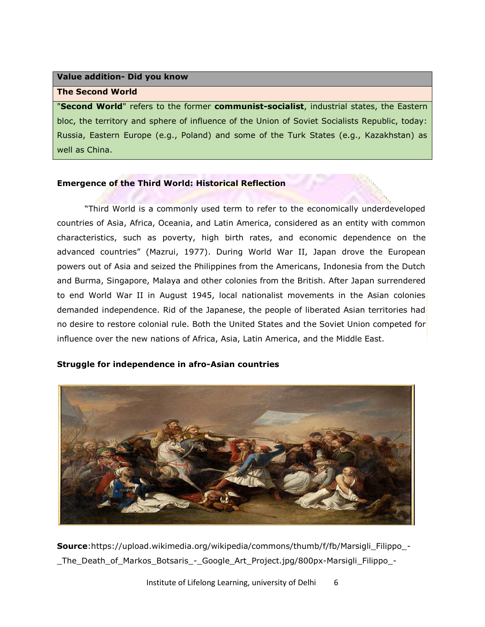## **Value addition- Did you know**

#### **The Second World**

"**Second World**" refers to the former **communist-socialist**, industrial states, the Eastern bloc, the territory and sphere of influence of the Union of Soviet Socialists Republic, today: Russia, Eastern Europe (e.g., Poland) and some of the Turk States (e.g., Kazakhstan) as well as China.

## **Emergence of the Third World: Historical Reflection**

"Third World is a commonly used term to refer to the economically underdeveloped countries of Asia, Africa, Oceania, and Latin America, considered as an entity with common characteristics, such as poverty, high birth rates, and economic dependence on the advanced countries" (Mazrui, 1977). During World War II, Japan drove the European powers out of Asia and seized the Philippines from the Americans, Indonesia from the Dutch and Burma, Singapore, Malaya and other colonies from the British. After Japan surrendered to end World War II in August 1945, local nationalist movements in the Asian colonies demanded independence. Rid of the Japanese, the people of liberated Asian territories had no desire to restore colonial rule. Both the United States and the Soviet Union competed for influence over the new nations of Africa, Asia, Latin America, and the Middle East.

## **Struggle for independence in afro-Asian countries**



**Source**:https://upload.wikimedia.org/wikipedia/commons/thumb/f/fb/Marsigli\_Filippo\_- \_The\_Death\_of\_Markos\_Botsaris\_-\_Google\_Art\_Project.jpg/800px-Marsigli\_Filippo\_-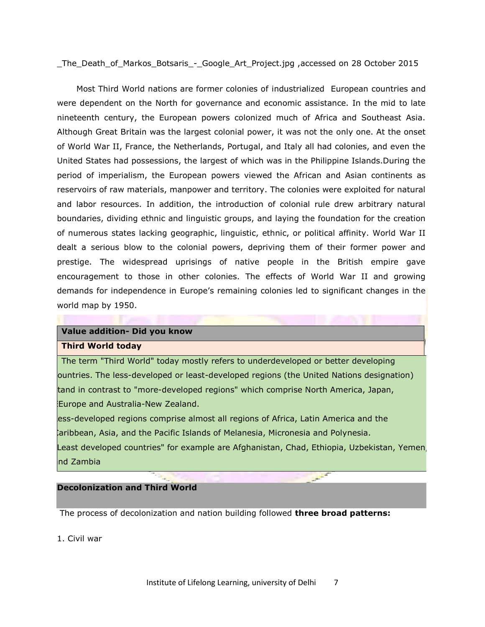\_The\_Death\_of\_Markos\_Botsaris\_-\_Google\_Art\_Project.jpg ,accessed on 28 October 2015

 Most Third World nations are former colonies of industrialized European countries and were dependent on the North for governance and economic assistance. In the mid to late nineteenth century, the European powers colonized much of Africa and Southeast Asia. Although Great Britain was the largest colonial power, it was not the only one. At the onset of World War II, France, the Netherlands, Portugal, and Italy all had colonies, and even the United States had possessions, the largest of which was in the Philippine Islands.During the period of imperialism, the European powers viewed the African and Asian continents as reservoirs of raw materials, manpower and territory. The colonies were exploited for natural and labor resources. In addition, the introduction of colonial rule drew arbitrary natural boundaries, dividing ethnic and linguistic groups, and laying the foundation for the creation of numerous states lacking geographic, linguistic, ethnic, or political affinity. World War II dealt a serious blow to the colonial powers, depriving them of their former power and prestige. The widespread uprisings of native people in the British empire gave encouragement to those in other colonies. The effects of World War II and growing demands for independence in Europe's remaining colonies led to significant changes in the world map by 1950.

#### **Value addition- Did you know**

#### **Third World today**

The term "Third World" today mostly refers to underdeveloped or better developing countries. The less-developed or least-developed regions (the United Nations designation) tand in contrast to "more-developed regions" which comprise North America, Japan, Europe and Australia-New Zealand.

ess-developed regions comprise almost all regions of Africa, Latin America and the caribbean, Asia, and the Pacific Islands of Melanesia, Micronesia and Polynesia. Least developed countries" for example are Afghanistan, Chad, Ethiopia, Uzbekistan, Yemen nd Zambia

## **Decolonization and Third World**

The process of decolonization and nation building followed **three broad patterns:**

1. Civil war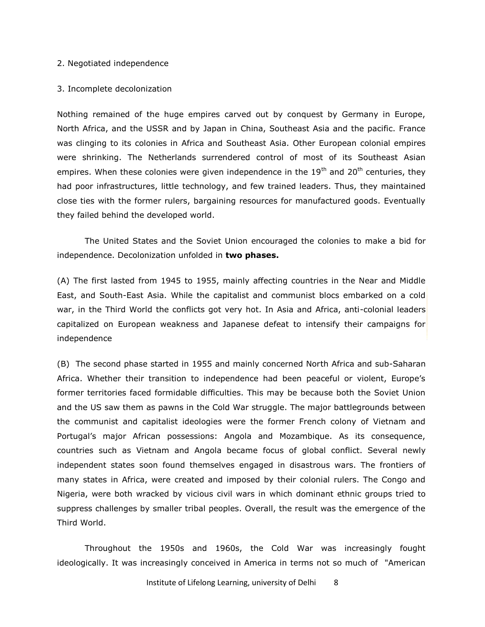#### 2. Negotiated independence

#### 3. Incomplete decolonization

Nothing remained of the huge empires carved out by conquest by Germany in Europe, North Africa, and the USSR and by Japan in China, Southeast Asia and the pacific. France was clinging to its colonies in Africa and Southeast Asia. Other European colonial empires were shrinking. The Netherlands surrendered control of most of its Southeast Asian empires. When these colonies were given independence in the  $19<sup>th</sup>$  and  $20<sup>th</sup>$  centuries, they had poor infrastructures, little technology, and few trained leaders. Thus, they maintained close ties with the former rulers, bargaining resources for manufactured goods. Eventually they failed behind the developed world.

 The United States and the Soviet Union encouraged the colonies to make a bid for independence. Decolonization unfolded in **two phases.** 

(A) The first lasted from 1945 to 1955, mainly affecting countries in the Near and Middle East, and South-East Asia. While the capitalist and communist blocs embarked on a cold war, in the Third World the conflicts got very hot. In Asia and Africa, anti-colonial leaders capitalized on European weakness and Japanese defeat to intensify their campaigns for independence

(B) The second phase started in 1955 and mainly concerned North Africa and sub-Saharan Africa. Whether their transition to independence had been peaceful or violent, Europe's former territories faced formidable difficulties. This may be because both the Soviet Union and the US saw them as pawns in the Cold War struggle. The major battlegrounds between the communist and capitalist ideologies were the former French colony of Vietnam and Portugal's major African possessions: Angola and Mozambique. As its consequence, countries such as Vietnam and Angola became focus of global conflict. Several newly independent states soon found themselves engaged in disastrous wars. The frontiers of many states in Africa, were created and imposed by their colonial rulers. The Congo and Nigeria, were both wracked by vicious civil wars in which dominant ethnic groups tried to suppress challenges by smaller tribal peoples. Overall, the result was the emergence of the Third World.

 Throughout the 1950s and 1960s, the Cold War was increasingly fought ideologically. It was increasingly conceived in America in terms not so much of "American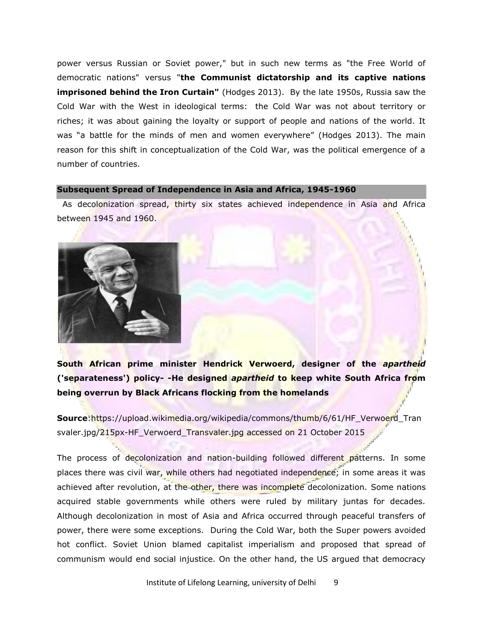power versus Russian or Soviet power," but in such new terms as "the Free World of democratic nations" versus "**the Communist dictatorship and its captive nations imprisoned behind the Iron Curtain"** (Hodges 2013). By the late 1950s, Russia saw the Cold War with the West in ideological terms: the Cold War was not about territory or riches; it was about gaining the loyalty or support of people and nations of the world. It was "a battle for the minds of men and women everywhere" (Hodges 2013). The main reason for this shift in conceptualization of the Cold War, was the political emergence of a number of countries.

#### **Subsequent Spread of Independence in Asia and Africa, 1945-1960**

As decolonization spread, thirty six states achieved independence in Asia and Africa between 1945 and 1960.



**South African prime minister Hendrick Verwoerd, designer of the** *apartheid* **('separateness') policy- -He designed** *apartheid* **to keep white South Africa from being overrun by Black Africans flocking from the homelands** 

**Source**:https://upload.wikimedia.org/wikipedia/commons/thumb/6/61/HF\_Verwoerd\_Tran svaler.jpg/215px-HF\_Verwoerd\_Transvaler.jpg accessed on 21 October 2015

The process of decolonization and nation-building followed different patterns. In some places there was civil war, while others had negotiated independence; in some areas it was achieved after revolution, at the other, there was incomplete decolonization. Some nations acquired stable governments while others were ruled by military juntas for decades. Although decolonization in most of Asia and Africa occurred through peaceful transfers of power, there were some exceptions. During the Cold War, both the Super powers avoided hot conflict. Soviet Union blamed capitalist imperialism and proposed that spread of communism would end social injustice. On the other hand, the US argued that democracy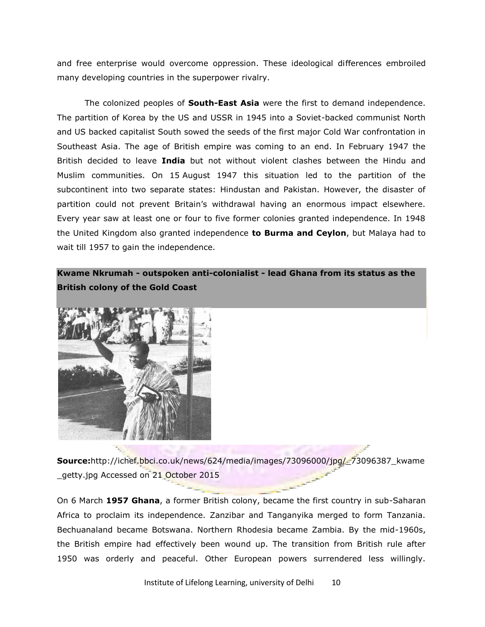and free enterprise would overcome oppression. These ideological differences embroiled many developing countries in the superpower rivalry.

 The colonized peoples of **South-East Asia** were the first to demand independence. The partition of Korea by the US and USSR in 1945 into a Soviet-backed communist North and US backed capitalist South sowed the seeds of the first major Cold War confrontation in Southeast Asia. The age of British empire was coming to an end. In February 1947 the British decided to leave **India** but not without violent clashes between the Hindu and Muslim communities. On 15 August 1947 this situation led to the partition of the subcontinent into two separate states: Hindustan and Pakistan. However, the disaster of partition could not prevent Britain's withdrawal having an enormous impact elsewhere. Every year saw at least one or four to five former colonies granted independence. In 1948 the United Kingdom also granted independence **to Burma and Ceylon**, but Malaya had to wait till 1957 to gain the independence.

## **Kwame Nkrumah - outspoken anti-colonialist - lead Ghana from its status as the British colony of the Gold Coast**



**Source:**http://ichef.bbci.co.uk/news/624/media/images/73096000/jpg/\_73096387\_kwame \_getty.jpg Accessed on 21 October 2015

On 6 March **1957 Ghana**, a former British colony, became the first country in sub-Saharan Africa to proclaim its independence. Zanzibar and Tanganyika merged to form Tanzania. Bechuanaland became Botswana. Northern Rhodesia became Zambia. By the mid-1960s, the British empire had effectively been wound up. The transition from British rule after 1950 was orderly and peaceful. Other European powers surrendered less willingly.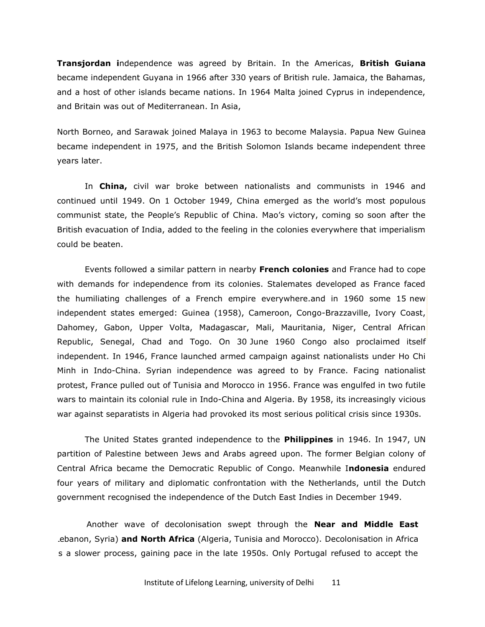**Transjordan i**ndependence was agreed by Britain. In the Americas, **British Guiana** became independent Guyana in 1966 after 330 years of British rule. Jamaica, the Bahamas, and a host of other islands became nations. In 1964 Malta joined Cyprus in independence, and Britain was out of Mediterranean. In Asia,

North Borneo, and Sarawak joined Malaya in 1963 to become Malaysia. Papua New Guinea became independent in 1975, and the British Solomon Islands became independent three years later.

 In **China,** civil war broke between nationalists and communists in 1946 and continued until 1949. On 1 October 1949, China emerged as the world's most populous communist state, the People's Republic of China. Mao's victory, coming so soon after the British evacuation of India, added to the feeling in the colonies everywhere that imperialism could be beaten.

 Events followed a similar pattern in nearby **French colonies** and France had to cope with demands for independence from its colonies. Stalemates developed as France faced the humiliating challenges of a French empire everywhere.and in 1960 some 15 new independent states emerged: Guinea (1958), Cameroon, Congo-Brazzaville, Ivory Coast, Dahomey, Gabon, Upper Volta, Madagascar, Mali, Mauritania, Niger, Central African Republic, Senegal, Chad and Togo. On 30 June 1960 Congo also proclaimed itself independent. In 1946, France launched armed campaign against nationalists under Ho Chi Minh in Indo-China. Syrian independence was agreed to by France. Facing nationalist protest, France pulled out of Tunisia and Morocco in 1956. France was engulfed in two futile wars to maintain its colonial rule in Indo-China and Algeria. By 1958, its increasingly vicious war against separatists in Algeria had provoked its most serious political crisis since 1930s.

 The United States granted independence to the **Philippines** in 1946. In 1947, UN partition of Palestine between Jews and Arabs agreed upon. The former Belgian colony of Central Africa became the Democratic Republic of Congo. Meanwhile I**ndonesia** endured four years of military and diplomatic confrontation with the Netherlands, until the Dutch government recognised the independence of the Dutch East Indies in December 1949.

 Another wave of decolonisation swept through the **Near and Middle East** (LLebanon, Syria) **and North Africa** (Algeria, Tunisia and Morocco). Decolonisation in Africa s a slower process, gaining pace in the late 1950s. Only Portugal refused to accept the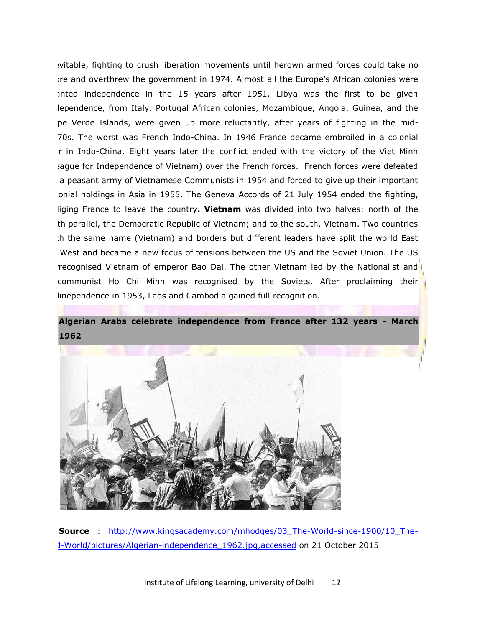vitable, fighting to crush liberation movements until herown armed forces could take no more and overthrew the government in 1974. Almost all the Europe's African colonies were inted independence in the 15 years after 1951. Libya was the first to be given lependence, from Italy. Portugal African colonies, Mozambique, Angola, Guinea, and the pe Verde Islands, were given up more reluctantly, after years of fighting in the mid-1970s. The worst was French Indo-China. In 1946 France became embroiled in a colonial r in Indo-China. Eight years later the conflict ended with the victory of the Viet Minh Hague for Independence of Vietnam) over the French forces. French forces were defeated a peasant army of Vietnamese Communists in 1954 and forced to give up their important onial holdings in Asia in 1955. The Geneva Accords of 21 July 1954 ended the fighting, liging France to leave the country. Vietnam was divided into two halves: north of the th parallel, the Democratic Republic of Vietnam; and to the south, Vietnam. Two countries th the same name (Vietnam) and borders but different leaders have split the world East West and became a new focus of tensions between the US and the Soviet Union. The US recognised Vietnam of emperor Bao Dai. The other Vietnam led by the Nationalist and communist Ho Chi Minh was recognised by the Soviets. After proclaiming their linependence in 1953, Laos and Cambodia gained full recognition.

## **Algerian Arabs celebrate independence from France after 132 years - March 1962**



**Source** : [http://www.kingsacademy.com/mhodges/03\\_The-World-since-1900/10\\_The-](http://www.kingsacademy.com/mhodges/03_The-World-since-1900/10_The-3rd-World/pictures/Algerian-independence_1962.jpg,accessed)[3rd-World/pictures/Algerian-independence\\_1962.jpg,accessed](http://www.kingsacademy.com/mhodges/03_The-World-since-1900/10_The-3rd-World/pictures/Algerian-independence_1962.jpg,accessed) on 21 October 2015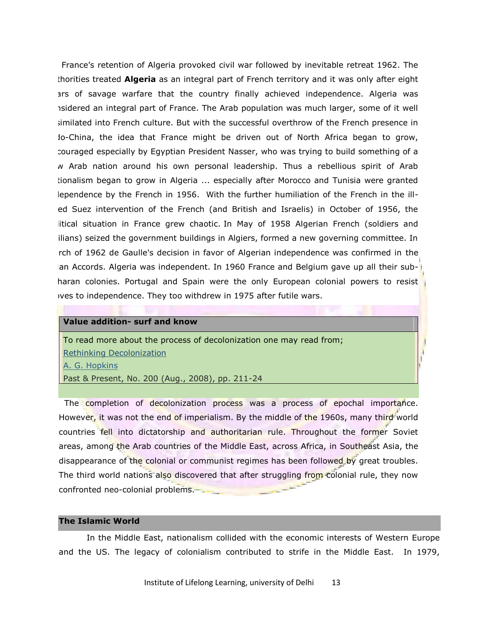France's retention of Algeria provoked civil war followed by inevitable retreat 1962. The thorities treated **Algeria** as an integral part of French territory and it was only after eight ars of savage warfare that the country finally achieved independence. Algeria was isidered an integral part of France. The Arab population was much larger, some of it well similated into French culture. But with the successful overthrow of the French presence in Io-China, the idea that France might be driven out of North Africa began to grow, couraged especially by Egyptian President Nasser, who was trying to build something of a w Arab nation around his own personal leadership. Thus a rebellious spirit of Arab tionalism began to grow in Algeria ... especially after Morocco and Tunisia were granted lependence by the French in 1956. With the further humiliation of the French in the illed Suez intervention of the French (and British and Israelis) in October of 1956, the litical situation in France grew chaotic. In May of 1958 Algerian French (soldiers and ilians) seized the government buildings in Algiers, formed a new governing committee. In rch of 1962 de Gaulle's decision in favor of Algerian independence was confirmed in the an Accords. Algeria was independent. In 1960 France and Belgium gave up all their subharan colonies. Portugal and Spain were the only European colonial powers to resist wes to independence. They too withdrew in 1975 after futile wars.

### **Value addition- surf and know**

To read more about the process of decolonization one may read from;

[Rethinking Decolonization](http://www.jstor.org/stable/10.2307/25096724?Search=yes&resultItemClick=true&searchText=decolonization&searchUri=%2Faction%2FdoBasicSearch%3FQuery%3Ddecolonization%26amp%3Bacc%3Don%26amp%3Bwc%3Don%26amp%3Bfc%3Doff%26amp%3Bgroup%3Dnone)

[A. G. Hopkins](http://www.jstor.org/action/doBasicSearch?acc=on&wc=on&fc=off&group=none&Query=au:%22A.+G.+Hopkins%22&si=1)

Past & Present, No. 200 (Aug., 2008), pp. 211-24

The completion of decolonization process was a process of epochal importance. However, it was not the end of imperialism. By the middle of the 1960s, many third world countries fell into dictatorship and authoritarian rule. Throughout the former Soviet areas, among the Arab countries of the Middle East, across Africa, in Southeast Asia, the disappearance of the colonial or communist regimes has been followed by great troubles. The third world nations also discovered that after struggling from colonial rule, they now confronted neo-colonial problems.

#### **The Islamic World**

 In the Middle East, nationalism collided with the economic interests of Western Europe and the US. The legacy of colonialism contributed to strife in the Middle East. In 1979,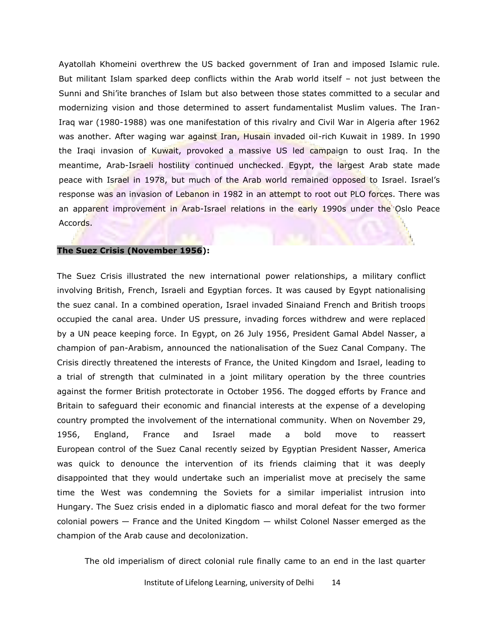Ayatollah Khomeini overthrew the US backed government of Iran and imposed Islamic rule. But militant Islam sparked deep conflicts within the Arab world itself – not just between the Sunni and Shi'ite branches of Islam but also between those states committed to a secular and modernizing vision and those determined to assert fundamentalist Muslim values. The Iran-Iraq war (1980-1988) was one manifestation of this rivalry and Civil War in Algeria after 1962 was another. After waging war against Iran, Husain invaded oil-rich Kuwait in 1989. In 1990 the Iraqi invasion of Kuwait, provoked a massive US led campaign to oust Iraq. In the meantime, Arab-Israeli hostility continued unchecked. Egypt, the largest Arab state made peace with Israel in 1978, but much of the Arab world remained opposed to Israel. Israel's response was an invasion of Lebanon in 1982 in an attempt to root out PLO forces. There was an apparent improvement in Arab-Israel relations in the early 1990s under the Oslo Peace Accords.

#### **The Suez Crisis (November 1956):**

The Suez Crisis illustrated the new international power relationships, a military conflict involving British, French, Israeli and Egyptian forces. It was caused by Egypt nationalising the suez canal. In a combined operation, Israel invaded Sinaiand French and British troops occupied the canal area. Under US pressure, invading forces withdrew and were replaced by a UN peace keeping force. In Egypt, on 26 July 1956, President Gamal Abdel Nasser, a champion of pan-Arabism, announced the nationalisation of the Suez Canal Company. The Crisis directly threatened the interests of France, the United Kingdom and Israel, leading to a trial of strength that culminated in a joint military operation by the three countries against the former British protectorate in October 1956. The dogged efforts by France and Britain to safeguard their economic and financial interests at the expense of a developing country prompted the involvement of the international community. When on November 29, 1956, England, France and Israel made a bold move to reassert European control of the Suez Canal recently seized by Egyptian President Nasser, America was quick to denounce the intervention of its friends claiming that it was deeply disappointed that they would undertake such an imperialist move at precisely the same time the West was condemning the Soviets for a similar imperialist intrusion into Hungary. The Suez crisis ended in a diplomatic fiasco and moral defeat for the two former colonial powers — France and the United Kingdom — whilst Colonel Nasser emerged as the champion of the Arab cause and decolonization.

The old imperialism of direct colonial rule finally came to an end in the last quarter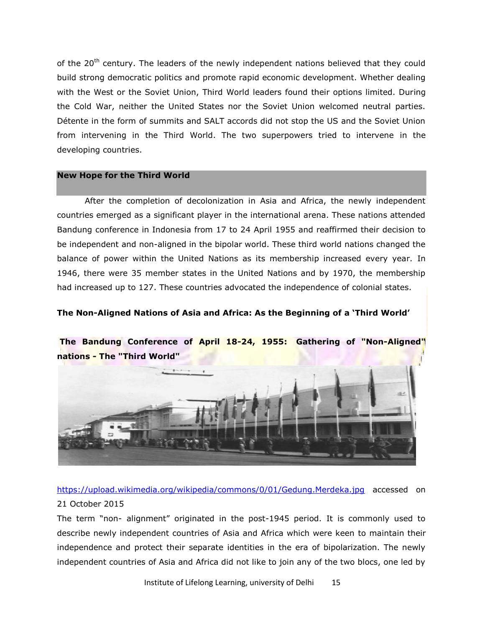of the  $20<sup>th</sup>$  century. The leaders of the newly independent nations believed that they could build strong democratic politics and promote rapid economic development. Whether dealing with the West or the Soviet Union, Third World leaders found their options limited. During the Cold War, neither the United States nor the Soviet Union welcomed neutral parties. Détente in the form of summits and SALT accords did not stop the US and the Soviet Union from intervening in the Third World. The two superpowers tried to intervene in the developing countries.

#### **New Hope for the Third World**

After the completion of decolonization in Asia and Africa, the newly independent countries emerged as a significant player in the international arena. These nations attended Bandung conference in Indonesia from 17 to 24 April 1955 and reaffirmed their decision to be independent and non-aligned in the bipolar world. These third world nations changed the balance of power within the United Nations as its membership increased every year. In 1946, there were 35 member states in the United Nations and by 1970, the membership had increased up to 127. These countries advocated the independence of colonial states.

## **The Non-Aligned Nations of Asia and Africa: As the Beginning of a 'Third World'**



**The Bandung Conference of April 18-24, 1955: Gathering of "Non-Aligned" nations - The "Third World"** 

<https://upload.wikimedia.org/wikipedia/commons/0/01/Gedung.Merdeka.jpg> accessed on 21 October 2015

The term "non- alignment" originated in the post-1945 period. It is commonly used to describe newly independent countries of Asia and Africa which were keen to maintain their independence and protect their separate identities in the era of bipolarization. The newly independent countries of Asia and Africa did not like to join any of the two blocs, one led by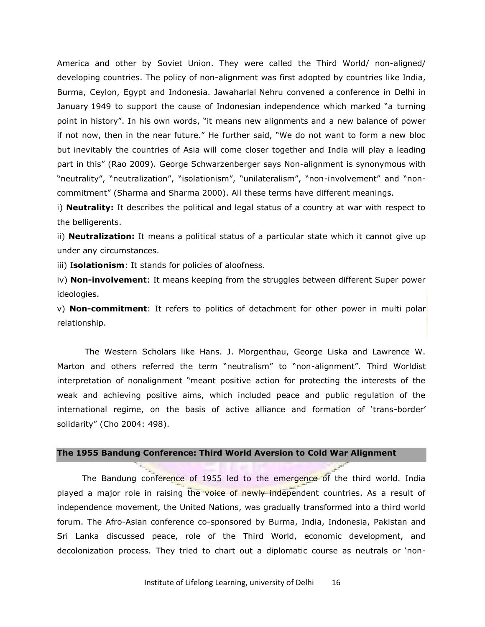America and other by Soviet Union. They were called the Third World/ non-aligned/ developing countries. The policy of non-alignment was first adopted by countries like India, Burma, Ceylon, Egypt and Indonesia. Jawaharlal Nehru convened a conference in Delhi in January 1949 to support the cause of Indonesian independence which marked "a turning point in history". In his own words, "it means new alignments and a new balance of power if not now, then in the near future." He further said, "We do not want to form a new bloc but inevitably the countries of Asia will come closer together and India will play a leading part in this" (Rao 2009). George Schwarzenberger says Non-alignment is synonymous with "neutrality", "neutralization", "isolationism", "unilateralism", "non-involvement" and "noncommitment" (Sharma and Sharma 2000). All these terms have different meanings.

i) **Neutrality:** It describes the political and legal status of a country at war with respect to the belligerents.

ii) **Neutralization:** It means a political status of a particular state which it cannot give up under any circumstances.

iii) I**solationism**: It stands for policies of aloofness.

iv) **Non-involvement**: It means keeping from the struggles between different Super power ideologies.

v) **Non-commitment**: It refers to politics of detachment for other power in multi polar relationship.

 The Western Scholars like Hans. J. Morgenthau, George Liska and Lawrence W. Marton and others referred the term "neutralism" to "non-alignment". Third Worldist interpretation of nonalignment "meant positive action for protecting the interests of the weak and achieving positive aims, which included peace and public regulation of the international regime, on the basis of active alliance and formation of 'trans-border' solidarity" (Cho 2004: 498).

## **The 1955 Bandung Conference: Third World Aversion to Cold War Alignment**

The Bandung conference of 1955 led to the emergence of the third world. India played a major role in raising the voice of newly independent countries. As a result of independence movement, the United Nations, was gradually transformed into a third world forum. The Afro-Asian conference co-sponsored by Burma, India, Indonesia, Pakistan and Sri Lanka discussed peace, role of the Third World, economic development, and decolonization process. They tried to chart out a diplomatic course as neutrals or 'non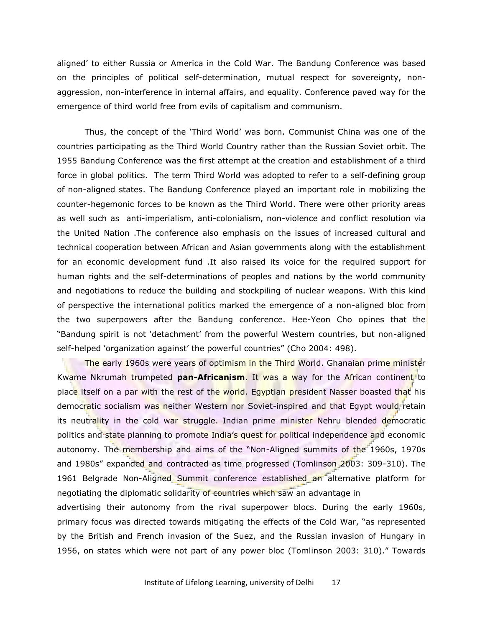aligned' to either Russia or America in the Cold War. The Bandung Conference was based on the principles of political self-determination, mutual respect for sovereignty, nonaggression, non-interference in internal affairs, and equality. Conference paved way for the emergence of third world free from evils of capitalism and communism.

Thus, the concept of the 'Third World' was born. Communist China was one of the countries participating as the Third World Country rather than the Russian Soviet orbit. The 1955 Bandung Conference was the first attempt at the creation and establishment of a third force in global politics. The term Third World was adopted to refer to a self-defining group of non-aligned states. The Bandung Conference played an important role in mobilizing the counter-hegemonic forces to be known as the Third World. There were other priority areas as well such as anti-imperialism, anti-colonialism, non-violence and conflict resolution via the United Nation .The conference also emphasis on the issues of increased cultural and technical cooperation between African and Asian governments along with the establishment for an economic development fund .It also raised its voice for the required support for human rights and the self-determinations of peoples and nations by the world community and negotiations to reduce the building and stockpiling of nuclear weapons. With this kind of perspective the international politics marked the emergence of a non-aligned bloc from the two superpowers after the Bandung conference. Hee-Yeon Cho opines that the "Bandung spirit is not 'detachment' from the powerful Western countries, but non-aligned self-helped 'organization against' the powerful countries" (Cho 2004: 498).

The early 1960s were years of optimism in the Third World. Ghanaian prime minister Kwame Nkrumah trumpeted **pan-Africanism**. It was a way for the African continent to place itself on a par with the rest of the world. Egyptian president Nasser boasted that his democratic socialism was neither Western nor Soviet-inspired and that Egypt would retain its neutrality in the cold war struggle. Indian prime minister Nehru blended democratic politics and state planning to promote India's quest for political independence and economic autonomy. The membership and aims of the "Non-Aligned summits of the 1960s, 1970s and 1980s" expanded and contracted as time progressed (Tomlinson 2003: 309-310). The 1961 Belgrade Non-Aligned Summit conference established an alternative platform for negotiating the diplomatic solidarity of countries which saw an advantage in

advertising their autonomy from the rival superpower blocs. During the early 1960s, primary focus was directed towards mitigating the effects of the Cold War, "as represented by the British and French invasion of the Suez, and the Russian invasion of Hungary in 1956, on states which were not part of any power bloc (Tomlinson 2003: 310)." Towards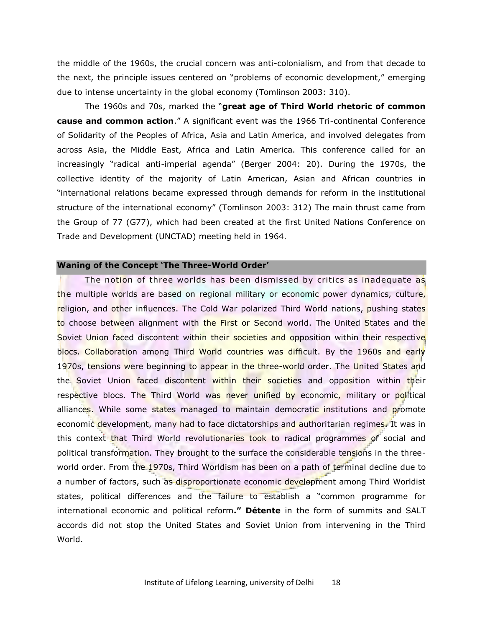the middle of the 1960s, the crucial concern was anti-colonialism, and from that decade to the next, the principle issues centered on "problems of economic development," emerging due to intense uncertainty in the global economy (Tomlinson 2003: 310).

The 1960s and 70s, marked the "great age of Third World rhetoric of common **cause and common action**.‖ A significant event was the 1966 Tri-continental Conference of Solidarity of the Peoples of Africa, Asia and Latin America, and involved delegates from across Asia, the Middle East, Africa and Latin America. This conference called for an increasingly "radical anti-imperial agenda" (Berger 2004: 20). During the 1970s, the collective identity of the majority of Latin American, Asian and African countries in ―international relations became expressed through demands for reform in the institutional structure of the international economy" (Tomlinson 2003: 312) The main thrust came from the Group of 77 (G77), which had been created at the first United Nations Conference on Trade and Development (UNCTAD) meeting held in 1964.

## **Waning of the Concept 'The Three-World Order'**

The notion of three worlds has been dismissed by critics as inadequate as the multiple worlds are based on regional military or economic power dynamics, culture, religion, and other influences. The Cold War polarized Third World nations, pushing states to choose between alignment with the First or Second world. The United States and the Soviet Union faced discontent within their societies and opposition within their respective blocs. Collaboration among Third World countries was difficult. By the 1960s and early 1970s, tensions were beginning to appear in the three-world order. The United States and the Soviet Union faced discontent within their societies and opposition within their respective blocs. The Third World was never unified by economic, military or political alliances. While some states managed to maintain democratic institutions and promote economic development, many had to face dictatorships and authoritarian regimes. It was in this context that Third World revolutionaries took to radical programmes of social and political transformation. They brought to the surface the considerable tensions in the threeworld order. From the 1970s, Third Worldism has been on a path of terminal decline due to a number of factors, such as disproportionate economic development among Third Worldist states, political differences and the failure to establish a "common programme for international economic and political reform**." Détente** in the form of summits and SALT accords did not stop the United States and Soviet Union from intervening in the Third World.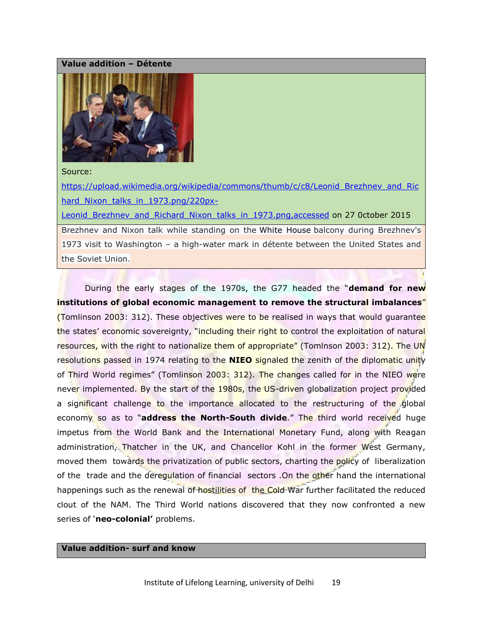#### **Value addition – Détente**



#### Source:

[https://upload.wikimedia.org/wikipedia/commons/thumb/c/c8/Leonid\\_Brezhnev\\_and\\_Ric](https://upload.wikimedia.org/wikipedia/commons/thumb/c/c8/Leonid_Brezhnev_and_Richard_Nixon_talks_in_1973.png/220px-Leonid_Brezhnev_and_Richard_Nixon_talks_in_1973.png,accessed) hard Nixon talks in 1973.png/220px-Leonid Brezhnev and Richard Nixon talks in 1973.png,accessed on 27 0ctober 2015 Brezhnev and Nixon talk while standing on the White House balcony during Brezhnev's 1973 visit to Washington – a high-water mark in détente between the United States and the Soviet Union.

During the early stages of the 1970s, the G77 headed the "**demand for new institutions of global economic management to remove the structural imbalances**" (Tomlinson 2003: 312). These objectives were to be realised in ways that would guarantee the states' economic sovereignty, "including their right to control the exploitation of natural resources, with the right to nationalize them of appropriate" (Tomlnson 2003: 312). The UN resolutions passed in 1974 relating to the **NIEO** signaled the zenith of the diplomatic unity of Third World regimes" (Tomlinson 2003: 312). The changes called for in the NIEO were never implemented. By the start of the 1980s, the US-driven globalization project provided a significant challenge to the importance allocated to the restructuring of the global economy so as to "address the North-South divide." The third world received huge impetus from the World Bank and the International Monetary Fund, along with Reagan administration, Thatcher in the UK, and Chancellor Kohl in the former West Germany, moved them towards the privatization of public sectors, charting the policy of liberalization of the trade and the deregulation of financial sectors .On the other hand the international happenings such as the renewal of hostilities of the Cold War further facilitated the reduced clout of the NAM. The Third World nations discovered that they now confronted a new series of 'neo-colonial' problems.

## **Value addition- surf and know**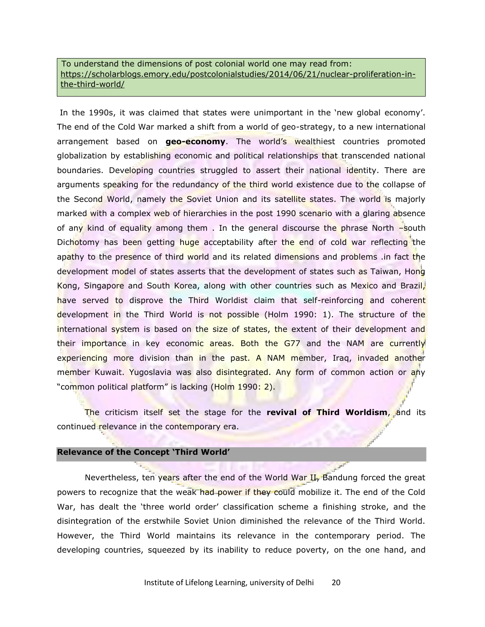To understand the dimensions of post colonial world one may read from: [https://scholarblogs.emory.edu/postcolonialstudies/2014/06/21/nuclear-proliferation-in](https://scholarblogs.emory.edu/postcolonialstudies/2014/06/21/nuclear-proliferation-in-the-third-world/)[the-third-world/](https://scholarblogs.emory.edu/postcolonialstudies/2014/06/21/nuclear-proliferation-in-the-third-world/)

In the 1990s, it was claimed that states were unimportant in the 'new global economy'. The end of the Cold War marked a shift from a world of geo-strategy, to a new international arrangement based on **geo-economy**. The world's wealthiest countries promoted globalization by establishing economic and political relationships that transcended national boundaries. Developing countries struggled to assert their national identity. There are arguments speaking for the redundancy of the third world existence due to the collapse of the Second World, namely the Soviet Union and its satellite states. The world is majorly marked with a complex web of hierarchies in the post 1990 scenario with a glaring absence of any kind of equality among them . In the general discourse the phrase North –south Dichotomy has been getting huge acceptability after the end of cold war reflecting the apathy to the presence of third world and its related dimensions and problems in fact the development model of states asserts that the development of states such as Taiwan, Hong Kong, Singapore and South Korea, along with other countries such as Mexico and Brazil, have served to disprove the Third Worldist claim that self-reinforcing and coherent development in the Third World is not possible (Holm 1990: 1). The structure of the international system is based on the size of states, the extent of their development and their importance in key economic areas. Both the G77 and the NAM are currently experiencing more division than in the past. A NAM member, Iraq, invaded another member Kuwait. Yugoslavia was also disintegrated. Any form of common action or any "common political platform" is lacking (Holm 1990: 2).

 The criticism itself set the stage for the **revival of Third Worldism**, and its continued relevance in the contemporary era.

#### **Relevance of the Concept 'Third World'**

Nevertheless, ten years after the end of the World War II, Bandung forced the great powers to recognize that the weak had power if they could mobilize it. The end of the Cold War, has dealt the 'three world order' classification scheme a finishing stroke, and the disintegration of the erstwhile Soviet Union diminished the relevance of the Third World. However, the Third World maintains its relevance in the contemporary period. The developing countries, squeezed by its inability to reduce poverty, on the one hand, and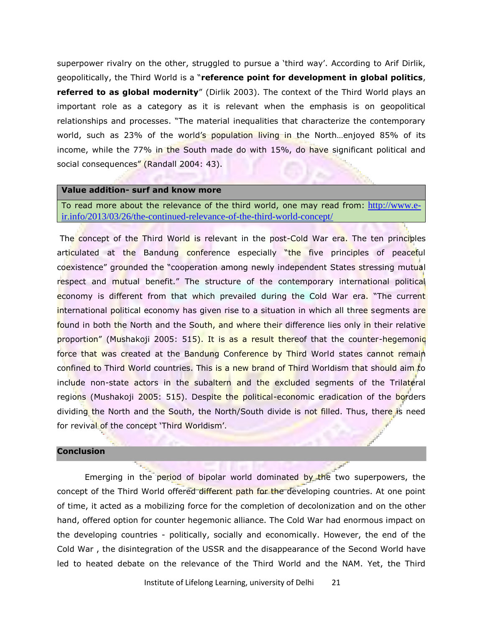superpower rivalry on the other, struggled to pursue a 'third way'. According to Arif Dirlik, geopolitically, the Third World is a "reference point for development in global politics, **referred to as global modernity**" (Dirlik 2003). The context of the Third World plays an important role as a category as it is relevant when the emphasis is on geopolitical relationships and processes. "The material inequalities that characterize the contemporary world, such as 23% of the world's population living in the North...enjoyed 85% of its income, while the 77% in the South made do with 15%, do have significant political and social consequences" (Randall 2004: 43).

#### **Value addition- surf and know more**

To read more about the relevance of the third world, one may read from: [http://www.e](http://www.e-ir.info/2013/03/26/the-continued-relevance-of-the-third-world-concept/)[ir.info/2013/03/26/the-continued-relevance-of-the-third-world-concept/](http://www.e-ir.info/2013/03/26/the-continued-relevance-of-the-third-world-concept/)

The concept of the Third World is relevant in the post-Cold War era. The ten principles articulated at the Bandung conference especially "the five principles of peaceful coexistence" grounded the "cooperation among newly independent States stressing mutual respect and mutual benefit." The structure of the contemporary international political economy is different from that which prevailed during the Cold War era. "The current international political economy has given rise to a situation in which all three segments are found in both the North and the South, and where their difference lies only in their relative proportion" (Mushakoji 2005: 515). It is as a result thereof that the counter-hegemonic force that was created at the Bandung Conference by Third World states cannot remain confined to Third World countries. This is a new brand of Third Worldism that should aim to include non-state actors in the subaltern and the excluded segments of the Trilateral regions (Mushakoji 2005: 515). Despite the political-economic eradication of the borders dividing the North and the South, the North/South divide is not filled. Thus, there is need for revival of the concept 'Third Worldism'.

#### **Conclusion**

Emerging in the period of bipolar world dominated by the two superpowers, the concept of the Third World offered different path for the developing countries. At one point of time, it acted as a mobilizing force for the completion of decolonization and on the other hand, offered option for counter hegemonic alliance. The Cold War had enormous impact on the developing countries - politically, socially and economically. However, the end of the Cold War , the disintegration of the USSR and the disappearance of the Second World have led to heated debate on the relevance of the Third World and the NAM. Yet, the Third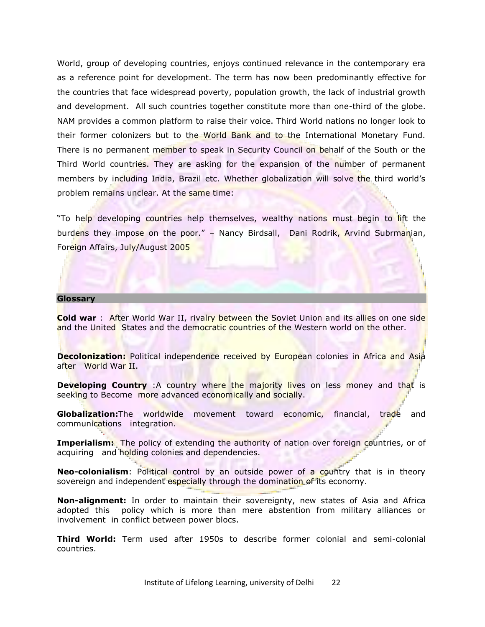World, group of developing countries, enjoys continued relevance in the contemporary era as a reference point for development. The term has now been predominantly effective for the countries that face widespread poverty, population growth, the lack of industrial growth and development. All such countries together constitute more than one-third of the globe. NAM provides a common platform to raise their voice. Third World nations no longer look to their former colonizers but to the World Bank and to the International Monetary Fund. There is no permanent member to speak in Security Council on behalf of the South or the Third World countries. They are asking for the expansion of the number of permanent members by including India, Brazil etc. Whether globalization will solve the third world's problem remains unclear. At the same time:

"To help developing countries help themselves, wealthy nations must begin to lift the burdens they impose on the poor." – Nancy Birdsall, Dani Rodrik, Arvind Subrmanian, Foreign Affairs, July/August 2005

#### **Glossary**

**Cold war** : After World War II, rivalry between the Soviet Union and its allies on one side and the United States and the democratic countries of the Western world on the other.

Decolonization: Political independence received by European colonies in Africa and Asia after World War II.

**Developing Country** :A country where the majority lives on less money and that is seeking to Become more advanced economically and socially.

**Globalization:**The worldwide movement toward economic, financial, trade and communications integration.

**Imperialism:** The policy of extending the authority of nation over foreign countries, or of acquiring and holding colonies and dependencies.

**Neo-colonialism**: Political control by an outside power of a country that is in theory sovereign and independent especially through the domination of its economy.

**Non-alignment:** In order to maintain their sovereignty, new states of Asia and Africa adopted this policy which is more than mere abstention from military alliances or involvement in conflict between power blocs.

**Third World:** Term used after 1950s to describe former colonial and semi-colonial countries.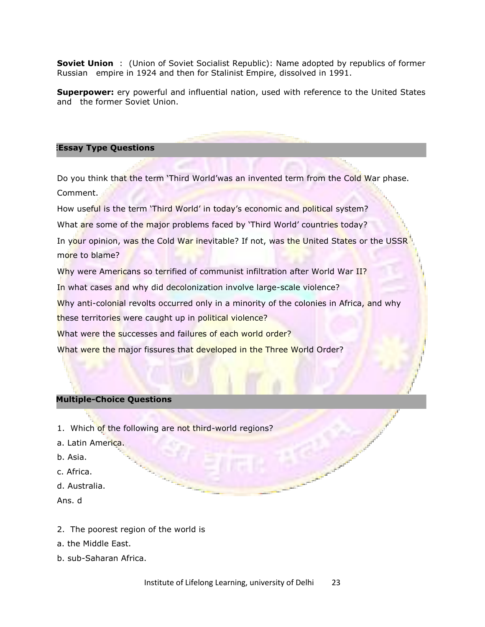**Soviet Union** : (Union of Soviet Socialist Republic): Name adopted by republics of former Russian empire in 1924 and then for Stalinist Empire, dissolved in 1991.

**Superpower:** ery powerful and influential nation, used with reference to the United States and the former Soviet Union.

#### **Essay Type Questions**

Do you think that the term 'Third World'was an invented term from the Cold War phase. Comment.

How useful is the term 'Third World' in today's economic and political system?

What are some of the major problems faced by 'Third World' countries today?

In your opinion, was the Cold War inevitable? If not, was the United States or the USSR more to blame?

Why were Americans so terrified of communist infiltration after World War II?

In what cases and why did decolonization involve large-scale violence?

Why anti-colonial revolts occurred only in a minority of the colonies in Africa, and why

these territories were caught up in political violence?

What were the successes and failures of each world order?

What were the major fissures that developed in the Three World Order?

## **Multiple-Choice Questions**

1. Which of the following are not third-world regions?

- a. Latin America.
- b. Asia.
- c. Africa.
- d. Australia.
- Ans. d
- 2. The poorest region of the world is
- a. the Middle East.
- b. sub-Saharan Africa.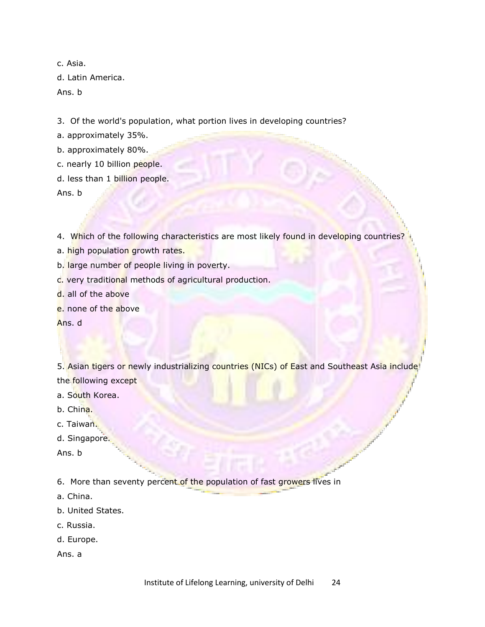c. Asia. d. Latin America. Ans. b

3. Of the world's population, what portion lives in developing countries?

a. approximately 35%.

b. approximately 80%.

c. nearly 10 billion people.

d. less than 1 billion people.

Ans. b

4. Which of the following characteristics are most likely found in developing countries?

a. high population growth rates.

b. large number of people living in poverty.

c. very traditional methods of agricultural production.

d. all of the above

e. none of the above

Ans. d

5. Asian tigers or newly industrializing countries (NICs) of East and Southeast Asia include the following except

a. South Korea.

b. China.

c. Taiwan.

d. Singapore.

Ans. b

6. More than seventy percent of the population of fast growers lives in

a. China.

b. United States.

c. Russia.

d. Europe.

Ans. a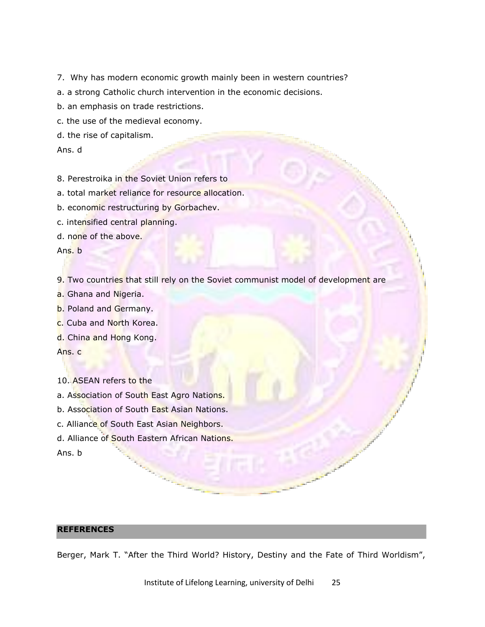- 7. Why has modern economic growth mainly been in western countries?
- a. a strong Catholic church intervention in the economic decisions.
- b. an emphasis on trade restrictions.
- c. the use of the medieval economy.
- d. the rise of capitalism.

Ans. d

- 8. Perestroika in the Soviet Union refers to
- a. total market reliance for resource allocation.
- b. economic restructuring by Gorbachev.
- c. intensified central planning.
- d. none of the above.

Ans. b

- 9. Two countries that still rely on the Soviet communist model of development are
- a. Ghana and Nigeria.
- b. Poland and Germany.
- c. Cuba and North Korea.
- d. China and Hong Kong.

Ans. c

- 10. ASEAN refers to the
- a. Association of South East Agro Nations.
- b. Association of South East Asian Nations.
- c. Alliance of South East Asian Neighbors.
- d. Alliance of South Eastern African Nations.

Ans. b

## **REFERENCES**

Berger, Mark T. "After the Third World? History, Destiny and the Fate of Third Worldism",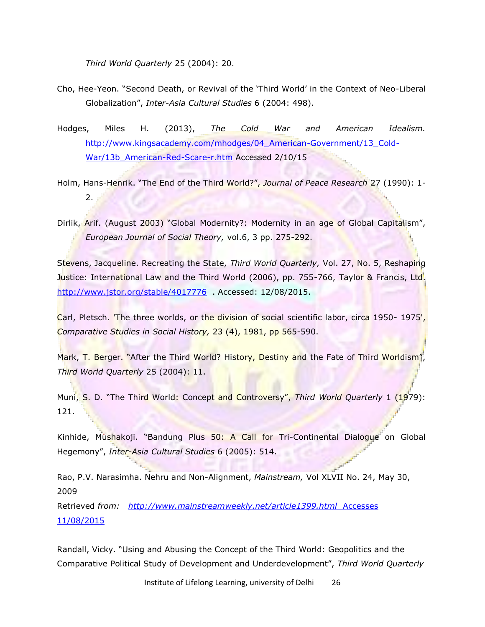*Third World Quarterly* 25 (2004): 20.

- Cho, Hee-Yeon. "Second Death, or Revival of the 'Third World' in the Context of Neo-Liberal Globalization‖, *Inter-Asia Cultural Studies* 6 (2004: 498).
- Hodges, Miles H. (2013), *The Cold War and American Idealism.* [http://www.kingsacademy.com/mhodges/04\\_American-Government/13\\_Cold-](http://www.kingsacademy.com/mhodges/04_American-Government/13_Cold-War/13b_American-Red-Scare-r.htm)War/13b American-Red-Scare-r.htm Accessed 2/10/15
- Holm, Hans-Henrik. "The End of the Third World?", *Journal of Peace Research* 27 (1990): 1-2.
- Dirlik, Arif. (August 2003) "Global Modernity?: Modernity in an age of Global Capitalism", *European Journal of Social Theory,* vol.6, 3 pp. 275-292.

Stevens, Jacqueline. Recreating the State, *Third World Quarterly,* Vol. 27, No. 5, Reshaping Justice: International Law and the Third World (2006), pp. 755-766, Taylor & Francis, Ltd. <http://www.jstor.org/stable/4017776>. Accessed: 12/08/2015.

Carl, Pletsch. 'The three worlds, or the division of social scientific labor, circa 1950- 1975', *Comparative Studies in Social History,* 23 (4), 1981, pp 565-590.

Mark, T. Berger. "After the Third World? History, Destiny and the Fate of Third Worldism", *Third World Quarterly* 25 (2004): 11.

Muni, S. D. "The Third World: Concept and Controversy", *Third World Quarterly* 1 (1979): 121.

Kinhide, Mushakoji. "Bandung Plus 50: A Call for Tri-Continental Dialogue on Global Hegemony‖, *Inter-Asia Cultural Studies* 6 (2005): 514.

Rao, P.V. Narasimha. Nehru and Non-Alignment, *Mainstream,* Vol XLVII No. 24, May 30, 2009

Retrieved *from: [http://www.mainstreamweekly.net/article1399.html](http://www.mainstreamweekly.net/article1399.html%20%20Accesses%2011/08/2015)* Accesses [11/08/2015](http://www.mainstreamweekly.net/article1399.html%20%20Accesses%2011/08/2015)

Randall, Vicky. "Using and Abusing the Concept of the Third World: Geopolitics and the Comparative Political Study of Development and Underdevelopment", *Third World Quarterly*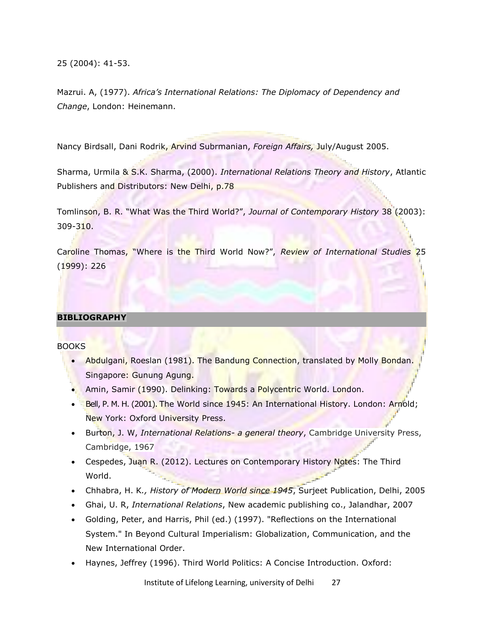25 (2004): 41-53.

Mazrui. A, (1977). *Africa's International Relations: The Diplomacy of Dependency and Change*, London: Heinemann.

Nancy Birdsall, Dani Rodrik, Arvind Subrmanian, *Foreign Affairs,* July/August 2005.

Sharma, Urmila & S.K. Sharma, (2000). *International Relations Theory and History*, Atlantic Publishers and Distributors: New Delhi, p.78

Tomlinson, B. R. "What Was the Third World?", *Journal of Contemporary History* 38 (2003): 309-310.

Caroline Thomas, "Where is the Third World Now?", *Review of International Studies* 25 (1999): 226

## **BIBLIOGRAPHY**

**BOOKS** 

- Abdulgani, Roeslan (1981). The Bandung Connection, translated by Molly Bondan. Singapore: Gunung Agung.
- Amin, Samir (1990). Delinking: Towards a Polycentric World. London.
- Bell, P. M. H. (2001). The World since 1945: An International History. London: Arnold; New York: Oxford University Press.
- Burton, J. W, *International Relations- a general theory*, Cambridge University Press, Cambridge, 1967
- Cespedes, Juan R. (2012). Lectures on Contemporary History Notes: The Third World.
- Chhabra, H. K*., History of Modern World since 1945*, Surjeet Publication, Delhi, 2005
- Ghai, U. R, *International Relations*, New academic publishing co., Jalandhar, 2007
- Golding, Peter, and Harris, Phil (ed.) (1997). "Reflections on the International System." In Beyond Cultural Imperialism: Globalization, Communication, and the New International Order.
- Haynes, Jeffrey (1996). Third World Politics: A Concise Introduction. Oxford: